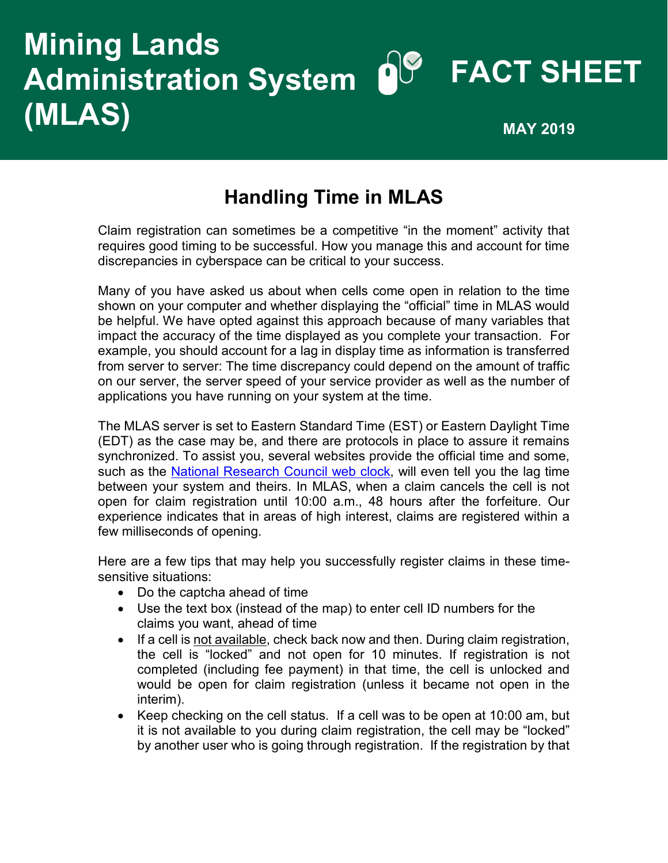## **Mining Lands Administration System (MLAS) FACT SHEET MAY 2019**

## **Handling Time in MLAS**

Claim registration can sometimes be a competitive "in the moment" activity that requires good timing to be successful. How you manage this and account for time discrepancies in cyberspace can be critical to your success.

Many of you have asked us about when cells come open in relation to the time shown on your computer and whether displaying the "official" time in MLAS would be helpful. We have opted against this approach because of many variables that impact the accuracy of the time displayed as you complete your transaction. For example, you should account for a lag in display time as information is transferred from server to server: The time discrepancy could depend on the amount of traffic on our server, the server speed of your service provider as well as the number of applications you have running on your system at the time.

The MLAS server is set to Eastern Standard Time (EST) or Eastern Daylight Time (EDT) as the case may be, and there are protocols in place to assure it remains synchronized. To assist you, several websites provide the official time and some, such as the [National Research Council web clock,](https://nrc.canada.ca/en/web-clock/?pedisable=true) will even tell you the lag time between your system and theirs. In MLAS, when a claim cancels the cell is not open for claim registration until 10:00 a.m., 48 hours after the forfeiture. Our experience indicates that in areas of high interest, claims are registered within a few milliseconds of opening.

Here are a few tips that may help you successfully register claims in these timesensitive situations:

- Do the captcha ahead of time
- Use the text box (instead of the map) to enter cell ID numbers for the claims you want, ahead of time
- If a cell is not available, check back now and then. During claim registration, the cell is "locked" and not open for 10 minutes. If registration is not completed (including fee payment) in that time, the cell is unlocked and would be open for claim registration (unless it became not open in the interim).
- Keep checking on the cell status. If a cell was to be open at 10:00 am, but it is not available to you during claim registration, the cell may be "locked" by another user who is going through registration. If the registration by that